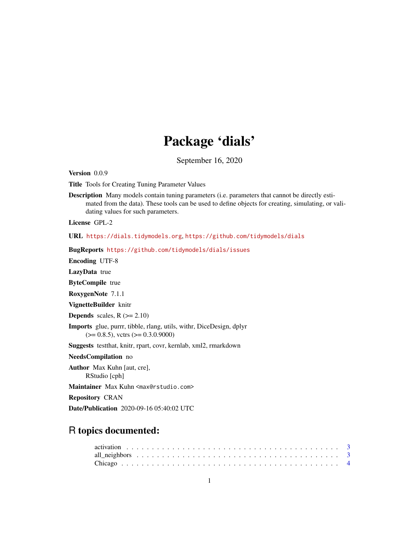# Package 'dials'

September 16, 2020

<span id="page-0-0"></span>Version 0.0.9

Title Tools for Creating Tuning Parameter Values

Description Many models contain tuning parameters (i.e. parameters that cannot be directly estimated from the data). These tools can be used to define objects for creating, simulating, or validating values for such parameters.

License GPL-2

URL <https://dials.tidymodels.org>, <https://github.com/tidymodels/dials>

BugReports <https://github.com/tidymodels/dials/issues>

Encoding UTF-8

LazyData true

ByteCompile true

RoxygenNote 7.1.1

VignetteBuilder knitr

**Depends** scales,  $R$  ( $>= 2.10$ )

Imports glue, purrr, tibble, rlang, utils, withr, DiceDesign, dplyr  $(>= 0.8.5)$ , vctrs  $(>= 0.3.0.9000)$ 

Suggests testthat, knitr, rpart, covr, kernlab, xml2, rmarkdown

NeedsCompilation no

Author Max Kuhn [aut, cre], RStudio [cph]

Maintainer Max Kuhn <max@rstudio.com>

Repository CRAN

Date/Publication 2020-09-16 05:40:02 UTC

# R topics documented: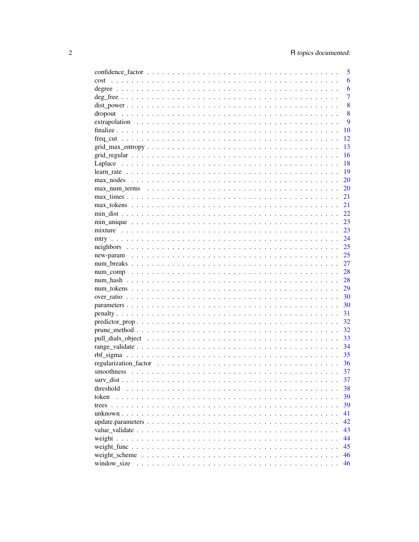|                                                                                                            | 5              |
|------------------------------------------------------------------------------------------------------------|----------------|
| cost                                                                                                       | 6              |
|                                                                                                            | 6              |
|                                                                                                            | $\overline{7}$ |
|                                                                                                            | 8              |
| dropout                                                                                                    | 8              |
|                                                                                                            | 9              |
|                                                                                                            | 10             |
|                                                                                                            | 12             |
|                                                                                                            | 13             |
|                                                                                                            | 16             |
|                                                                                                            | 18             |
|                                                                                                            | 19             |
|                                                                                                            | 20             |
|                                                                                                            | 20             |
|                                                                                                            |                |
|                                                                                                            | 21             |
|                                                                                                            | 21             |
|                                                                                                            | 22             |
|                                                                                                            | 23             |
|                                                                                                            | 23             |
|                                                                                                            | 24             |
|                                                                                                            | 25             |
|                                                                                                            | 25             |
|                                                                                                            | 27             |
|                                                                                                            | 28             |
|                                                                                                            | 28             |
|                                                                                                            | 29             |
|                                                                                                            | 30             |
|                                                                                                            | 30             |
|                                                                                                            | 31             |
|                                                                                                            | 32             |
|                                                                                                            | 32             |
|                                                                                                            | 33             |
|                                                                                                            | 34             |
|                                                                                                            | 35             |
|                                                                                                            | 36             |
|                                                                                                            | 37             |
|                                                                                                            | 37             |
| threshold                                                                                                  | 38             |
| token                                                                                                      | 39             |
|                                                                                                            | 39             |
|                                                                                                            | 41             |
|                                                                                                            |                |
|                                                                                                            | 42             |
|                                                                                                            | 43             |
|                                                                                                            | 44             |
|                                                                                                            | 45             |
| weight scheme $\ldots \ldots \ldots \ldots \ldots \ldots \ldots \ldots \ldots \ldots \ldots \ldots \ldots$ | 46             |
|                                                                                                            | 46             |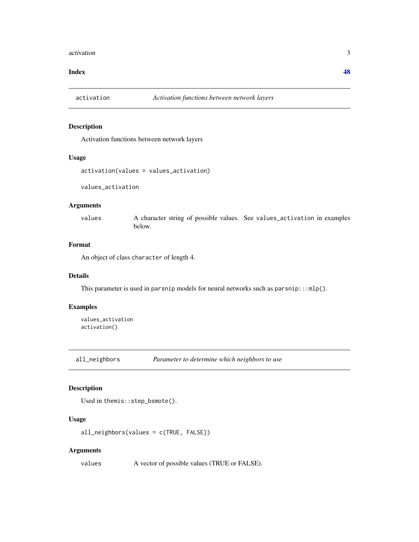#### <span id="page-2-0"></span>activation 3

#### **Index a** set of the contract of the contract of the contract of the contract of the contract of the contract of the contract of the contract of the contract of the contract of the contract of the contract of the contrac

#### Description

Activation functions between network layers

#### Usage

```
activation(values = values_activation)
```
values\_activation

#### Arguments

values A character string of possible values. See values\_activation in examples below.

# Format

An object of class character of length 4.

#### Details

This parameter is used in parsnip models for neural networks such as  $\text{param}::\text{mlp}($ .

#### Examples

values\_activation activation()

all\_neighbors *Parameter to determine which neighbors to use*

# Description

```
Used in themis::step_bsmote().
```
#### Usage

```
all_neighbors(values = c(TRUE, FALSE))
```
#### Arguments

values A vector of possible values (TRUE or FALSE).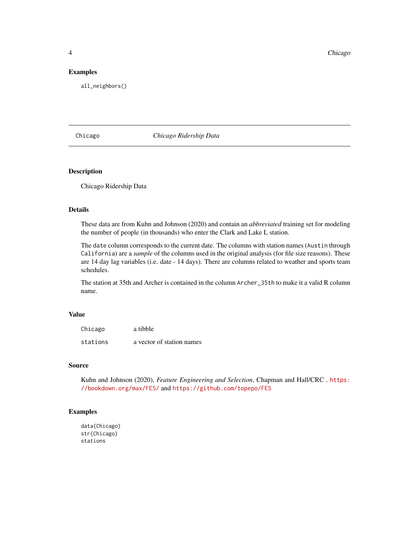<span id="page-3-0"></span>**4** Chicago **Chicago Chicago Chicago Provincial Chicago Provincial Chicago Provincial Chicago Provincial Chicago Provincial Chicago Provincial Chicago Provincial Chicago Provincial Chicago Provincial Chicago Provincial Chi** 

#### Examples

all\_neighbors()

# Chicago *Chicago Ridership Data*

#### Description

Chicago Ridership Data

#### Details

These data are from Kuhn and Johnson (2020) and contain an *abbreviated* training set for modeling the number of people (in thousands) who enter the Clark and Lake L station.

The date column corresponds to the current date. The columns with station names (Austin through California) are a *sample* of the columns used in the original analysis (for file size reasons). These are 14 day lag variables (i.e. date - 14 days). There are columns related to weather and sports team schedules.

The station at 35th and Archer is contained in the column Archer\_35th to make it a valid R column name.

#### Value

| Chicago  | a tibble                  |
|----------|---------------------------|
| stations | a vector of station names |

#### Source

Kuhn and Johnson (2020), *Feature Engineering and Selection*, Chapman and Hall/CRC . [https:](https://bookdown.org/max/FES/) [//bookdown.org/max/FES/](https://bookdown.org/max/FES/) and <https://github.com/topepo/FES>

#### Examples

```
data(Chicago)
str(Chicago)
stations
```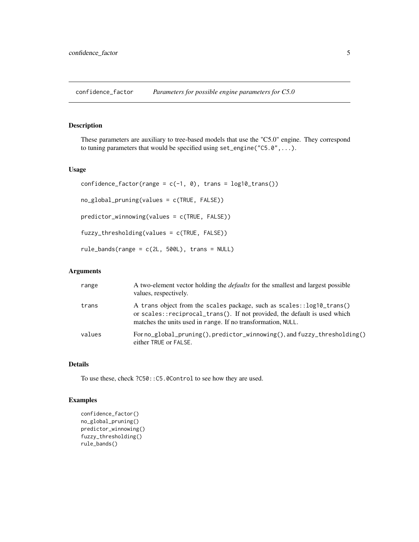<span id="page-4-0"></span>confidence\_factor *Parameters for possible engine parameters for C5.0*

#### Description

These parameters are auxiliary to tree-based models that use the "C5.0" engine. They correspond to tuning parameters that would be specified using set\_engine("C5.0",...).

#### Usage

```
confidence_factor(range = c(-1, 0), trans = log10_ttrans())
no_global_pruning(values = c(TRUE, FALSE))
predictor_winnowing(values = c(TRUE, FALSE))
fuzzy_thresholding(values = c(TRUE, FALSE))
rule\_bands(range = c(2L, 500L), trans = NULL)
```
# Arguments

| range  | A two-element vector holding the <i>defaults</i> for the smallest and largest possible<br>values, respectively.                                                                                                    |
|--------|--------------------------------------------------------------------------------------------------------------------------------------------------------------------------------------------------------------------|
| trans  | A trans object from the scales package, such as scales::log10_trans()<br>or scales::reciprocal_trans(). If not provided, the default is used which<br>matches the units used in range. If no transformation, NULL. |
| values | For no_global_pruning(), predictor_winnowing(), and fuzzy_thresholding()<br>either TRUE or FALSE.                                                                                                                  |

# Details

To use these, check ?C50::C5.0Control to see how they are used.

### Examples

```
confidence_factor()
no_global_pruning()
predictor_winnowing()
fuzzy_thresholding()
rule_bands()
```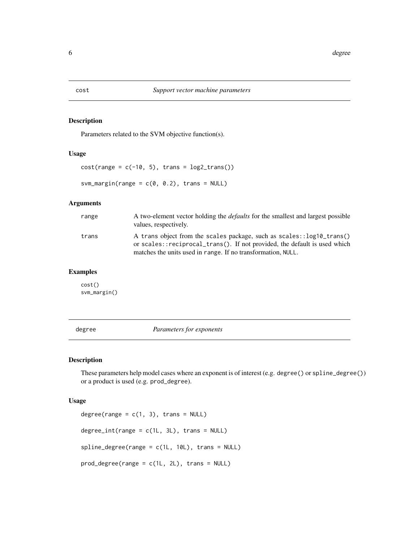#### Description

Parameters related to the SVM objective function(s).

#### Usage

 $cost(range = c(-10, 5), trans = log2_transform())$ svm\_margin(range =  $c(0, 0.2)$ , trans = NULL)

# Arguments

| range | A two-element vector holding the <i>defaults</i> for the smallest and largest possible<br>values, respectively.                                                                                                    |
|-------|--------------------------------------------------------------------------------------------------------------------------------------------------------------------------------------------------------------------|
| trans | A trans object from the scales package, such as scales::log10_trans()<br>or scales::reciprocal_trans(). If not provided, the default is used which<br>matches the units used in range. If no transformation, NULL. |

# Examples

cost() svm\_margin()

degree *Parameters for exponents*

# Description

These parameters help model cases where an exponent is of interest (e.g. degree() or spline\_degree()) or a product is used (e.g. prod\_degree).

#### Usage

```
degree(range = c(1, 3), trans = NULL)
degree\_int(range = c(1L, 3L), trans = NULL)spline_degree(range = c(1L, 10L), trans = NULL)
prod_degree(range = c(1L, 2L), trans = NULL)
```
<span id="page-5-0"></span>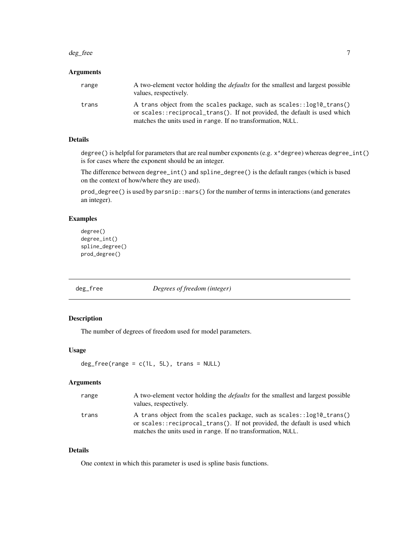#### <span id="page-6-0"></span>deg\_free 7 and 7 and 7 and 7 and 7 and 7 and 7 and 7 and 7 and 7 and 7 and 7 and 7 and 7 and 7 and 7 and 7 and 7 and 7 and 7 and 7 and 7 and 7 and 7 and 7 and 7 and 7 and 7 and 7 and 7 and 7 and 7 and 7 and 7 and 7 and 7 a

#### Arguments

| range | A two-element vector holding the <i>defaults</i> for the smallest and largest possible<br>values, respectively.                                     |
|-------|-----------------------------------------------------------------------------------------------------------------------------------------------------|
| trans | A trans object from the scales package, such as scales:: log10_trans()<br>or scales::reciprocal_trans(). If not provided, the default is used which |
|       | matches the units used in range. If no transformation, NULL.                                                                                        |

# Details

degree() is helpful for parameters that are real number exponents (e.g. x^degree) whereas degree\_int() is for cases where the exponent should be an integer.

The difference between degree\_int() and spline\_degree() is the default ranges (which is based on the context of how/where they are used).

prod\_degree() is used by parsnip::mars() for the number of terms in interactions (and generates an integer).

# Examples

```
degree()
degree_int()
spline_degree()
prod_degree()
```
deg\_free *Degrees of freedom (integer)*

# Description

The number of degrees of freedom used for model parameters.

# Usage

```
deg_free(range = c(1L, 5L), trans = NULL)
```
# Arguments

| range | A two-element vector holding the <i>defaults</i> for the smallest and largest possible<br>values, respectively.                                    |
|-------|----------------------------------------------------------------------------------------------------------------------------------------------------|
| trans | A trans object from the scales package, such as scales::log10_trans()<br>or scales::reciprocal_trans(). If not provided, the default is used which |
|       | matches the units used in range. If no transformation, NULL.                                                                                       |

# Details

One context in which this parameter is used is spline basis functions.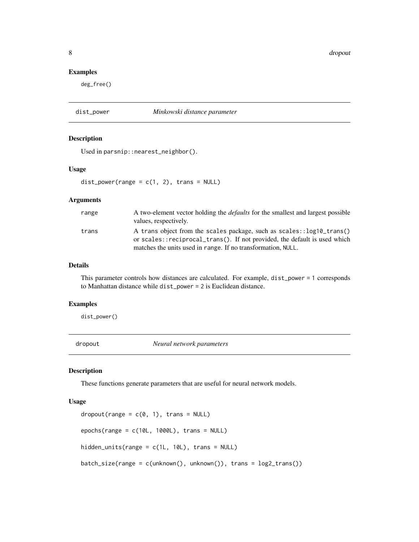<span id="page-7-0"></span>8 dropout to the control of the control of the control of the control of the control of the control of the control of the control of the control of the control of the control of the control of the control of the control of

#### Examples

deg\_free()

#### dist\_power *Minkowski distance parameter*

#### Description

Used in parsnip::nearest\_neighbor().

#### Usage

 $dist\_power(range = c(1, 2), trans = NULL)$ 

#### Arguments

| range | A two-element vector holding the <i>defaults</i> for the smallest and largest possible<br>values, respectively.                                    |
|-------|----------------------------------------------------------------------------------------------------------------------------------------------------|
| trans | A trans object from the scales package, such as scales::log10_trans()<br>or scales::reciprocal_trans(). If not provided, the default is used which |
|       | matches the units used in range. If no transformation, NULL.                                                                                       |

#### Details

This parameter controls how distances are calculated. For example, dist\_power = 1 corresponds to Manhattan distance while dist\_power = 2 is Euclidean distance.

# Examples

dist\_power()

dropout *Neural network parameters*

#### Description

These functions generate parameters that are useful for neural network models.

#### Usage

```
droput(range = c(0, 1), trans = NULL)epochs(range = c(10L, 1000L), trans = NULL)
hidden_units(range = c(1L, 10L), trans = NULL)
batch_size(range = c(unknown(), unknown()), trans = log2_trans())
```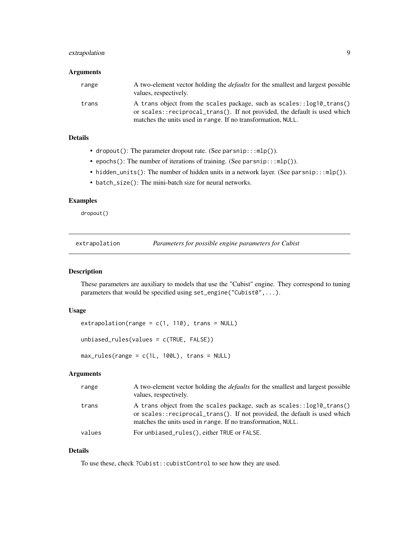# <span id="page-8-0"></span>extrapolation 9

#### Arguments

| range | A two-element vector holding the <i>defaults</i> for the smallest and largest possible<br>values, respectively.                                    |
|-------|----------------------------------------------------------------------------------------------------------------------------------------------------|
| trans | A trans object from the scales package, such as scales::log10_trans()<br>or scales::reciprocal_trans(). If not provided, the default is used which |
|       | matches the units used in range. If no transformation, NULL.                                                                                       |

# Details

- dropout(): The parameter dropout rate. (See parsnip:::mlp()).
- epochs(): The number of iterations of training. (See parsnip:::mlp()).
- hidden\_units(): The number of hidden units in a network layer. (See parsnip:::mlp()).
- batch\_size(): The mini-batch size for neural networks.

#### Examples

dropout()

extrapolation *Parameters for possible engine parameters for Cubist*

#### Description

These parameters are auxiliary to models that use the "Cubist" engine. They correspond to tuning parameters that would be specified using set\_engine("Cubist0",...).

#### Usage

```
extrapolation(range = c(1, 110), trans = NULL)unbiased_rules(values = c(TRUE, FALSE))
```
 $max_rules(range = c(1L, 100L), trans = NULL)$ 

#### Arguments

| range  | A two-element vector holding the <i>defaults</i> for the smallest and largest possible<br>values, respectively.                                                                                                    |
|--------|--------------------------------------------------------------------------------------------------------------------------------------------------------------------------------------------------------------------|
| trans  | A trans object from the scales package, such as scales::log10_trans()<br>or scales::reciprocal_trans(). If not provided, the default is used which<br>matches the units used in range. If no transformation, NULL. |
| values | For unbiased_rules(), either TRUE or FALSE.                                                                                                                                                                        |

#### Details

To use these, check ?Cubist::cubistControl to see how they are used.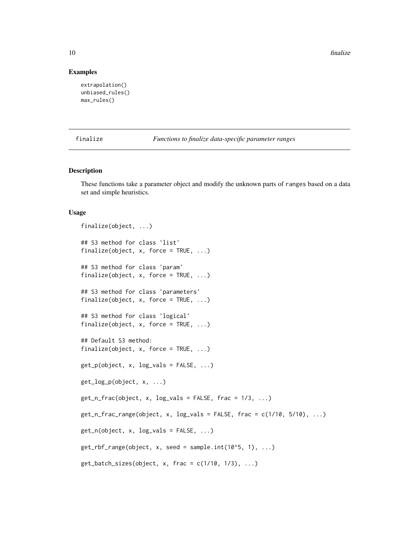10 finalize

#### Examples

```
extrapolation()
unbiased_rules()
max_rules()
```
finalize *Functions to finalize data-specific parameter ranges*

# Description

These functions take a parameter object and modify the unknown parts of ranges based on a data set and simple heuristics.

#### Usage

```
finalize(object, ...)
## S3 method for class 'list'
finalize(object, x, force = TRUE, \ldots)
## S3 method for class 'param'
finalize(object, x, force = TRUE, \ldots)
## S3 method for class 'parameters'
finalize(object, x, force = TRUE, \ldots)
## S3 method for class 'logical'
finalize(object, x, force = TRUE, \ldots)
## Default S3 method:
finalize(object, x, force = TRUE, ...)
get_p(object, x, log_values = FALSE, ...)get_log_p(object, x, ...)
get_nfrac(object, x, log_values = FALSE, frac = 1/3, ...)get_nfrac_range(object, x, log_values = FALSE, frac = c(1/10, 5/10), ...)get_n(object, x, log_values = FALSE, ...)get_rbf_range(object, x, seed = sample.int(10<sup>0</sup>5, 1), ...)get\_batch\_sizes(object, x, frac = c(1/10, 1/3), ...)
```
<span id="page-9-0"></span>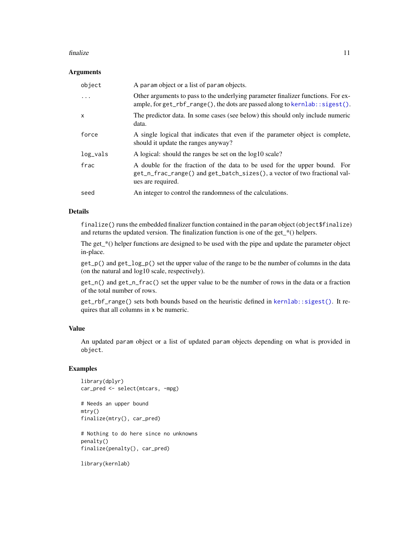#### <span id="page-10-0"></span>finalize the contract of the contract of the contract of the contract of the contract of the contract of the contract of the contract of the contract of the contract of the contract of the contract of the contract of the c

#### Arguments

| object       | A param object or a list of param objects.                                                                                                                                  |
|--------------|-----------------------------------------------------------------------------------------------------------------------------------------------------------------------------|
| $\ddots$ .   | Other arguments to pass to the underlying parameter finalizer functions. For ex-<br>ample, for $get_rbf_range()$ , the dots are passed along to kernlab: : sigest().        |
| $\mathsf{x}$ | The predictor data. In some cases (see below) this should only include numeric<br>data.                                                                                     |
| force        | A single logical that indicates that even if the parameter object is complete,<br>should it update the ranges anyway?                                                       |
| $log_vals$   | A logical: should the ranges be set on the log10 scale?                                                                                                                     |
| frac         | A double for the fraction of the data to be used for the upper bound. For<br>get_n_frac_range() and get_batch_sizes(), a vector of two fractional val-<br>ues are required. |
| seed         | An integer to control the randomness of the calculations.                                                                                                                   |

#### Details

finalize() runs the embedded finalizer function contained in the param object (object\$finalize) and returns the updated version. The finalization function is one of the get\_\*() helpers.

The get $*$ () helper functions are designed to be used with the pipe and update the parameter object in-place.

get\_p() and get\_log\_p() set the upper value of the range to be the number of columns in the data (on the natural and log10 scale, respectively).

get\_n() and get\_n\_frac() set the upper value to be the number of rows in the data or a fraction of the total number of rows.

get\_rbf\_range() sets both bounds based on the heuristic defined in [kernlab::sigest\(\)](#page-0-0). It requires that all columns in x be numeric.

#### Value

An updated param object or a list of updated param objects depending on what is provided in object.

#### Examples

```
library(dplyr)
car_pred <- select(mtcars, -mpg)
```
# Needs an upper bound mtry() finalize(mtry(), car\_pred)

# Nothing to do here since no unknowns penalty() finalize(penalty(), car\_pred)

library(kernlab)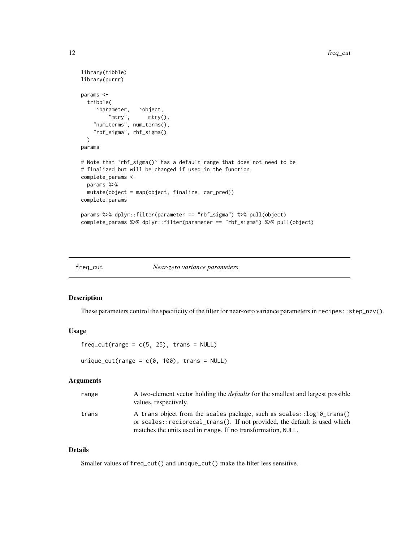```
library(tibble)
library(purrr)
params <-
 tribble(
    ~parameter, ~object,
        "mtry", mtry(),
    "num_terms", num_terms(),
    "rbf_sigma", rbf_sigma()
 \mathcal{L}params
# Note that 'rbf_sigma()' has a default range that does not need to be
# finalized but will be changed if used in the function:
complete_params <-
 params %>%
 mutate(object = map(object, finalize, car_pred))
complete_params
params %>% dplyr::filter(parameter == "rbf_sigma") %>% pull(object)
complete_params %>% dplyr::filter(parameter == "rbf_sigma") %>% pull(object)
```
freq\_cut *Near-zero variance parameters*

#### Description

These parameters control the specificity of the filter for near-zero variance parameters in recipes::step\_nzv().

#### Usage

 $freq-cut(range = c(5, 25)$ , trans = NULL)

unique\_cut(range =  $c(\theta, 100)$ , trans = NULL)

#### Arguments

| range | A two-element vector holding the <i>defaults</i> for the smallest and largest possible<br>values, respectively.                                                                                                    |
|-------|--------------------------------------------------------------------------------------------------------------------------------------------------------------------------------------------------------------------|
| trans | A trans object from the scales package, such as scales::log10_trans()<br>or scales::reciprocal_trans(). If not provided, the default is used which<br>matches the units used in range. If no transformation, NULL. |

#### Details

Smaller values of freq\_cut() and unique\_cut() make the filter less sensitive.

<span id="page-11-0"></span>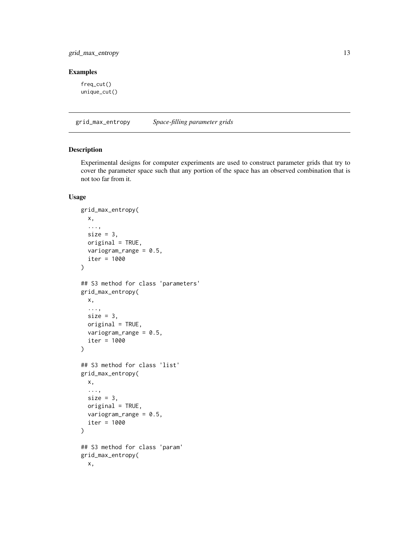# <span id="page-12-0"></span>grid\_max\_entropy 13

#### Examples

freq\_cut() unique\_cut()

grid\_max\_entropy *Space-filling parameter grids*

# Description

Experimental designs for computer experiments are used to construct parameter grids that try to cover the parameter space such that any portion of the space has an observed combination that is not too far from it.

#### Usage

```
grid_max_entropy(
 x,
  ...,
  size = 3,
 original = TRUE,
  variogram_range = 0.5,
  iter = 1000
)
## S3 method for class 'parameters'
grid_max_entropy(
 x,
  ...,
 size = 3,
 original = TRUE,
  variogram_range = 0.5,
  iter = 1000
\lambda## S3 method for class 'list'
grid_max_entropy(
 x,
  ...,
  size = 3,original = TRUE,
 variogram_range = 0.5,
  iter = 1000
)
## S3 method for class 'param'
grid_max_entropy(
 x,
```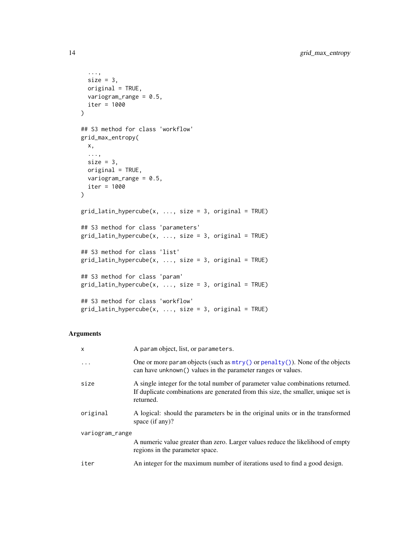```
...,
 size = 3,
 original = TRUE,
 variogram_range = 0.5,
 iter = 1000
\mathcal{L}## S3 method for class 'workflow'
grid_max_entropy(
 x,
  ...,
 size = 3,
 original = TRUE,
 variogram_range = 0.5,
 iter = 1000
\mathcal{L}grid\_latin\_hypercube(x, ..., size = 3, original = TRUE)## S3 method for class 'parameters'
grid\_latin\_hypercube(x, ..., size = 3, original = TRUE)## S3 method for class 'list'
grid\_latin\_hypercube(x, ..., size = 3, original = TRUE)## S3 method for class 'param'
grid\_latin\_hypercube(x, ..., size = 3, original = TRUE)## S3 method for class 'workflow'
grid\_latin\_hypercube(x, ..., size = 3, original = TRUE)
```
#### Arguments

| $\mathsf{x}$    | A param object, list, or parameters.                                                                                                                                               |  |  |
|-----------------|------------------------------------------------------------------------------------------------------------------------------------------------------------------------------------|--|--|
| .               | One or more param objects (such as $mtry()$ or $penalty()$ ). None of the objects<br>can have unknown () values in the parameter ranges or values.                                 |  |  |
| size            | A single integer for the total number of parameter value combinations returned.<br>If duplicate combinations are generated from this size, the smaller, unique set is<br>returned. |  |  |
| original        | A logical: should the parameters be in the original units or in the transformed<br>space $(if any)$ ?                                                                              |  |  |
| variogram_range |                                                                                                                                                                                    |  |  |
|                 | A numeric value greater than zero. Larger values reduce the likelihood of empty<br>regions in the parameter space.                                                                 |  |  |
| iter            | An integer for the maximum number of iterations used to find a good design.                                                                                                        |  |  |

<span id="page-13-0"></span>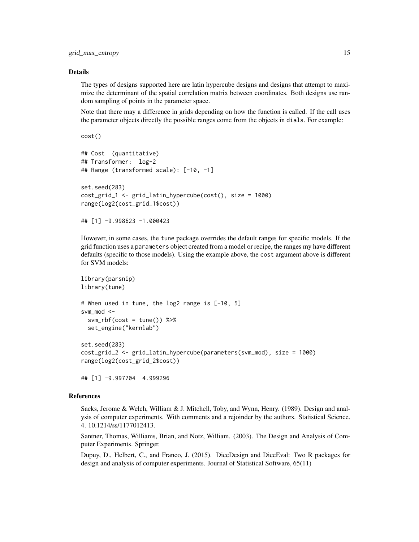#### Details

The types of designs supported here are latin hypercube designs and designs that attempt to maximize the determinant of the spatial correlation matrix between coordinates. Both designs use random sampling of points in the parameter space.

Note that there may a difference in grids depending on how the function is called. If the call uses the parameter objects directly the possible ranges come from the objects in dials. For example:

cost()

```
## Cost (quantitative)
## Transformer: log-2
## Range (transformed scale): [-10, -1]
set.seed(283)
cost_grid_1 <- grid_latin_hypercube(cost(), size = 1000)
range(log2(cost_grid_1$cost))
```

```
## [1] -9.998623 -1.000423
```
However, in some cases, the tune package overrides the default ranges for specific models. If the grid function uses a parameters object created from a model or recipe, the ranges my have different defaults (specific to those models). Using the example above, the cost argument above is different for SVM models:

```
library(parsnip)
library(tune)
# When used in tune, the log2 range is [-10, 5]
svm_mod <-
  svm\_rbf(cost = tune()) %>%
 set_engine("kernlab")
set.seed(283)
cost_grid_2 <- grid_latin_hypercube(parameters(svm_mod), size = 1000)
range(log2(cost_grid_2$cost))
```
## [1] -9.997704 4.999296

# References

Sacks, Jerome & Welch, William & J. Mitchell, Toby, and Wynn, Henry. (1989). Design and analysis of computer experiments. With comments and a rejoinder by the authors. Statistical Science. 4. 10.1214/ss/1177012413.

Santner, Thomas, Williams, Brian, and Notz, William. (2003). The Design and Analysis of Computer Experiments. Springer.

Dupuy, D., Helbert, C., and Franco, J. (2015). DiceDesign and DiceEval: Two R packages for design and analysis of computer experiments. Journal of Statistical Software, 65(11)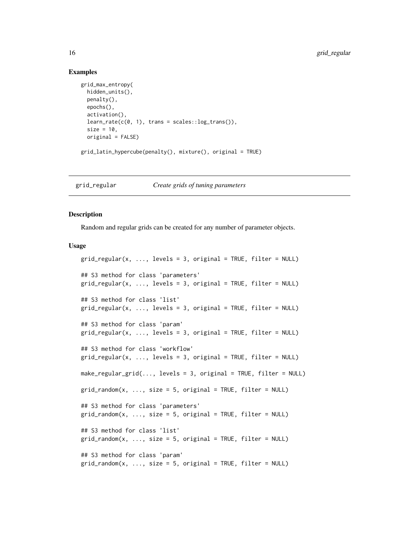#### Examples

```
grid_max_entropy(
 hidden_units(),
 penalty(),
 epochs(),
 activation(),
 learn_rate(c(0, 1), trans = scales::log_transform(),size = 10,
 original = FALSE)
grid_latin_hypercube(penalty(), mixture(), original = TRUE)
```
grid\_regular *Create grids of tuning parameters*

#### **Description**

Random and regular grids can be created for any number of parameter objects.

#### Usage

```
grid\_regular(x, ..., levels = 3, original = TRUE, filter = NULL)## S3 method for class 'parameters'
grid\_regular(x, ..., levels = 3, original = TRUE, filter = NULL)## S3 method for class 'list'
grid\_regular(x, ..., levels = 3, original = TRUE, filter = NULL)## S3 method for class 'param'
grid\_regular(x, ..., levels = 3, original = TRUE, filter = NULL)## S3 method for class 'workflow'
grid\_regular(x, ..., levels = 3, original = TRUE, filter = NULL)make_regular_grid(..., levels = 3, original = TRUE, filter = NULL)
grid\_random(x, ..., size = 5, original = TRUE, filter = NULL)## S3 method for class 'parameters'
grid\_random(x, ..., size = 5, original = TRUE, filter = NULL)## S3 method for class 'list'
grid\_random(x, ..., size = 5, original = TRUE, filter = NULL)## S3 method for class 'param'
grid\_random(x, ..., size = 5, original = TRUE, filter = NULL)
```
<span id="page-15-0"></span>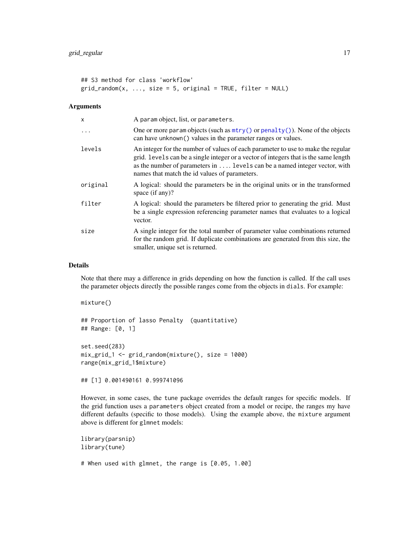```
## S3 method for class 'workflow'
grid\_random(x, ..., size = 5, original = TRUE, filter = NULL)
```
#### Arguments

| $\mathsf{x}$ | A param object, list, or parameters.                                                                                                                                                                                                                                                                    |
|--------------|---------------------------------------------------------------------------------------------------------------------------------------------------------------------------------------------------------------------------------------------------------------------------------------------------------|
|              | One or more param objects (such as $mtry()$ or $penalty()$ ). None of the objects<br>can have unknown() values in the parameter ranges or values.                                                                                                                                                       |
| levels       | An integer for the number of values of each parameter to use to make the regular<br>grid. Levels can be a single integer or a vector of integers that is the same length<br>as the number of parameters in  levels can be a named integer vector, with<br>names that match the id values of parameters. |
| original     | A logical: should the parameters be in the original units or in the transformed<br>space $(if any)$ ?                                                                                                                                                                                                   |
| filter       | A logical: should the parameters be filtered prior to generating the grid. Must<br>be a single expression referencing parameter names that evaluates to a logical<br>vector.                                                                                                                            |
| size         | A single integer for the total number of parameter value combinations returned<br>for the random grid. If duplicate combinations are generated from this size, the<br>smaller, unique set is returned.                                                                                                  |

#### Details

Note that there may a difference in grids depending on how the function is called. If the call uses the parameter objects directly the possible ranges come from the objects in dials. For example:

mixture() ## Proportion of lasso Penalty (quantitative) ## Range: [0, 1] set.seed(283)

mix\_grid\_1 <- grid\_random(mixture(), size = 1000) range(mix\_grid\_1\$mixture)

## [1] 0.001490161 0.999741096

However, in some cases, the tune package overrides the default ranges for specific models. If the grid function uses a parameters object created from a model or recipe, the ranges my have different defaults (specific to those models). Using the example above, the mixture argument above is different for glmnet models:

```
library(parsnip)
library(tune)
```
# When used with glmnet, the range is [0.05, 1.00]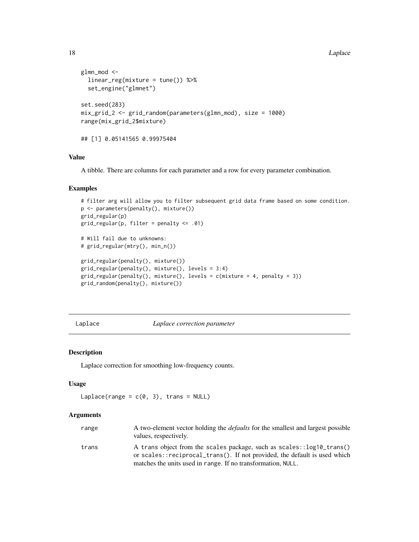#### <span id="page-17-0"></span>18 Laplace **Laplace** Laplace **Laplace** Laplace **Laplace** Laplace **Laplace** Laplace **Laplace** Laplace **Laplace** Laplace **Laplace** Laplace **Laplace** Laplace **Laplace** Laplace **Laplace** Laplace **Laplace** Laplace **Laplace** Lap

```
glmn_mod <-
  linear_reg(mixture = tune()) %>%
  set_engine("glmnet")
set.seed(283)
mix_grid_2 <- grid_random(parameters(glmn_mod), size = 1000)
range(mix_grid_2$mixture)
## [1] 0.05141565 0.99975404
```
#### Value

A tibble. There are columns for each parameter and a row for every parameter combination.

#### Examples

```
# filter arg will allow you to filter subsequent grid data frame based on some condition.
p <- parameters(penalty(), mixture())
grid_regular(p)
grid_regular(p, filter = penalty <= .01)
# Will fail due to unknowns:
# grid_regular(mtry(), min_n())
grid_regular(penalty(), mixture())
grid_regular(penalty(), mixture(), levels = 3:4)
grid\_regular(penalty(), mixture(), levels = c(mixture = 4, penalty = 3))grid_random(penalty(), mixture())
```

```
Laplace Laplace correction parameter
```
#### Description

Laplace correction for smoothing low-frequency counts.

# Usage

```
Laplace(range = c(0, 3), trans = NULL)
```
#### Arguments

| range | A two-element vector holding the <i>defaults</i> for the smallest and largest possible<br>values, respectively.                                    |
|-------|----------------------------------------------------------------------------------------------------------------------------------------------------|
| trans | A trans object from the scales package, such as scales::log10_trans()<br>or scales::reciprocal_trans(). If not provided, the default is used which |
|       | matches the units used in range. If no transformation, NULL.                                                                                       |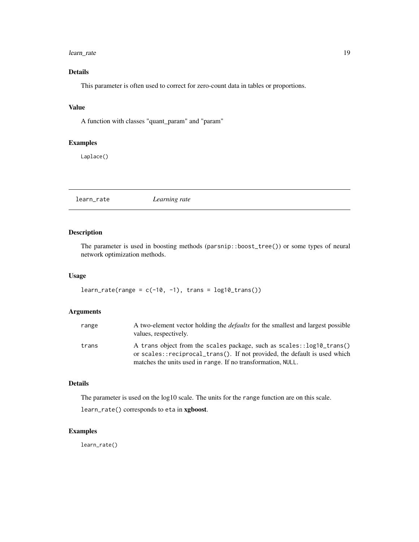#### <span id="page-18-0"></span>learn\_rate 19

# Details

This parameter is often used to correct for zero-count data in tables or proportions.

#### Value

A function with classes "quant\_param" and "param"

# Examples

Laplace()

learn\_rate *Learning rate*

# Description

The parameter is used in boosting methods (parsnip::boost\_tree()) or some types of neural network optimization methods.

#### Usage

 $learn_rate(range = c(-10, -1), trans = log10_trans())$ 

# Arguments

| range | A two-element vector holding the <i>defaults</i> for the smallest and largest possible<br>values, respectively.                                                                                                    |
|-------|--------------------------------------------------------------------------------------------------------------------------------------------------------------------------------------------------------------------|
| trans | A trans object from the scales package, such as scales::log10_trans()<br>or scales::reciprocal_trans(). If not provided, the default is used which<br>matches the units used in range. If no transformation, NULL. |

### Details

The parameter is used on the log10 scale. The units for the range function are on this scale.

learn\_rate() corresponds to eta in xgboost.

# Examples

learn\_rate()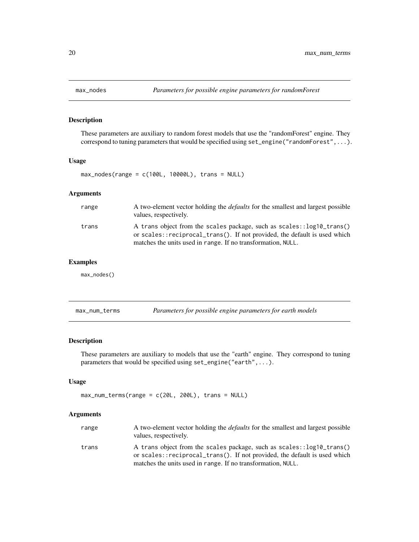<span id="page-19-0"></span>

# Description

These parameters are auxiliary to random forest models that use the "randomForest" engine. They correspond to tuning parameters that would be specified using set\_engine("randomForest",...).

# Usage

```
max\_nodes(range = c(100L, 10000L), trans = NULL)
```
# Arguments

| range | A two-element vector holding the <i>defaults</i> for the smallest and largest possible<br>values, respectively.                                                                                                    |
|-------|--------------------------------------------------------------------------------------------------------------------------------------------------------------------------------------------------------------------|
| trans | A trans object from the scales package, such as scales::log10_trans()<br>or scales::reciprocal_trans(). If not provided, the default is used which<br>matches the units used in range. If no transformation, NULL. |

#### Examples

max\_nodes()

| max_num_terms |  | Parameters for possible engine parameters for earth models |  |
|---------------|--|------------------------------------------------------------|--|
|---------------|--|------------------------------------------------------------|--|

#### Description

These parameters are auxiliary to models that use the "earth" engine. They correspond to tuning parameters that would be specified using set\_engine("earth",...).

#### Usage

```
max_num_terms(range = c(20L, 200L), trans = NULL)
```
# Arguments

| range | A two-element vector holding the <i>defaults</i> for the smallest and largest possible<br>values, respectively.                                    |
|-------|----------------------------------------------------------------------------------------------------------------------------------------------------|
| trans | A trans object from the scales package, such as scales::log10_trans()<br>or scales::reciprocal_trans(). If not provided, the default is used which |
|       | matches the units used in range. If no transformation, NULL.                                                                                       |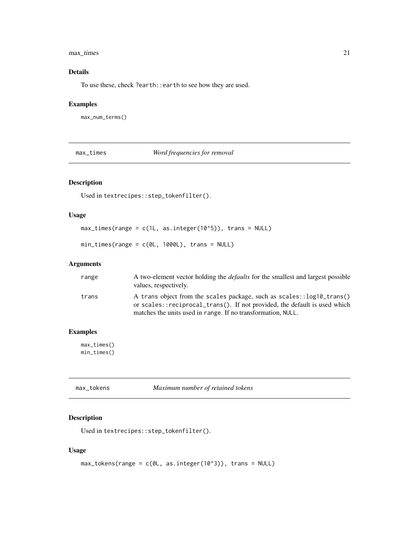# <span id="page-20-0"></span>max\_times 21

# Details

To use these, check ?earth::earth to see how they are used.

#### Examples

max\_num\_terms()

max\_times *Word frequencies for removal*

# Description

Used in textrecipes::step\_tokenfilter().

# Usage

max\_times(range = c(1L, as.integer(10^5)), trans = NULL)

min\_times(range = c(0L, 1000L), trans = NULL)

# Arguments

| range | A two-element vector holding the <i>defaults</i> for the smallest and largest possible<br>values, respectively.                                                                                                    |
|-------|--------------------------------------------------------------------------------------------------------------------------------------------------------------------------------------------------------------------|
| trans | A trans object from the scales package, such as scales::log10_trans()<br>or scales::reciprocal_trans(). If not provided, the default is used which<br>matches the units used in range. If no transformation, NULL. |

#### Examples

max\_times() min\_times()

| max_tokens | Maximum number of retained tokens |
|------------|-----------------------------------|
|            |                                   |

# Description

```
Used in textrecipes::step_tokenfilter().
```
# Usage

```
max\_tokens(range = c(0L, as.integer(10<sup>0</sup>3)), trans = NULL)
```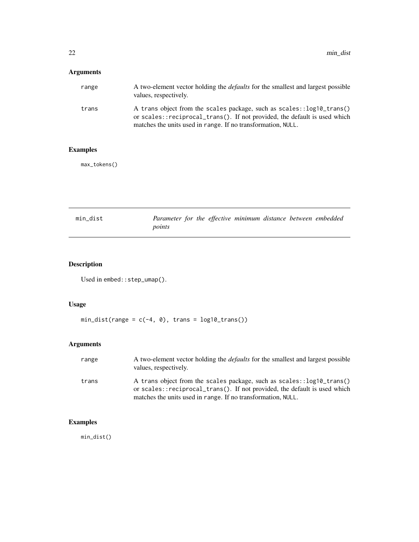# <span id="page-21-0"></span>Arguments

| range | A two-element vector holding the <i>defaults</i> for the smallest and largest possible<br>values, respectively.                                                                                                    |
|-------|--------------------------------------------------------------------------------------------------------------------------------------------------------------------------------------------------------------------|
| trans | A trans object from the scales package, such as scales::log10_trans()<br>or scales::reciprocal_trans(). If not provided, the default is used which<br>matches the units used in range. If no transformation, NULL. |

# Examples

max\_tokens()

| min dist | Parameter for the effective minimum distance between embedded |  |  |  |
|----------|---------------------------------------------------------------|--|--|--|
|          | points                                                        |  |  |  |

# Description

```
Used in embed::step_umap().
```
# Usage

 $min\_dist(range = c(-4, 0), trans = log10_trans())$ 

# Arguments

| range | A two-element vector holding the <i>defaults</i> for the smallest and largest possible<br>values, respectively.                                                                                                    |
|-------|--------------------------------------------------------------------------------------------------------------------------------------------------------------------------------------------------------------------|
| trans | A trans object from the scales package, such as scales::log10_trans()<br>or scales::reciprocal_trans(). If not provided, the default is used which<br>matches the units used in range. If no transformation, NULL. |

# Examples

min\_dist()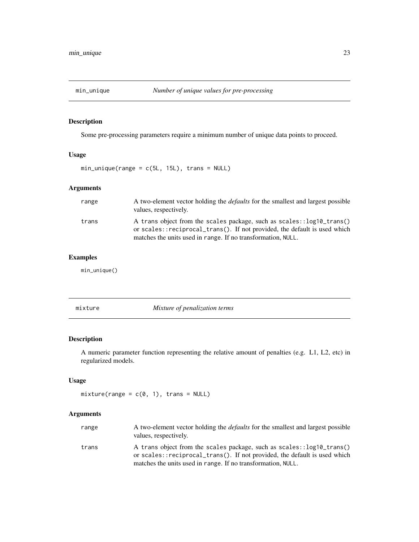<span id="page-22-0"></span>

# Description

Some pre-processing parameters require a minimum number of unique data points to proceed.

# Usage

 $min\_unique(range = c(5L, 15L), trans = NULL)$ 

# Arguments

| range | A two-element vector holding the <i>defaults</i> for the smallest and largest possible<br>values, respectively.                                    |
|-------|----------------------------------------------------------------------------------------------------------------------------------------------------|
| trans | A trans object from the scales package, such as scales::log10_trans()<br>or scales::reciprocal_trans(). If not provided, the default is used which |
|       | matches the units used in range. If no transformation, NULL.                                                                                       |

# Examples

min\_unique()

mixture *Mixture of penalization terms*

# Description

A numeric parameter function representing the relative amount of penalties (e.g. L1, L2, etc) in regularized models.

# Usage

```
mixture(range = c(0, 1), trans = NULL)
```
# Arguments

| range | A two-element vector holding the <i>defaults</i> for the smallest and largest possible<br>values, respectively.                                                                                                    |  |
|-------|--------------------------------------------------------------------------------------------------------------------------------------------------------------------------------------------------------------------|--|
| trans | A trans object from the scales package, such as scales::log10_trans()<br>or scales::reciprocal_trans(). If not provided, the default is used which<br>matches the units used in range. If no transformation, NULL. |  |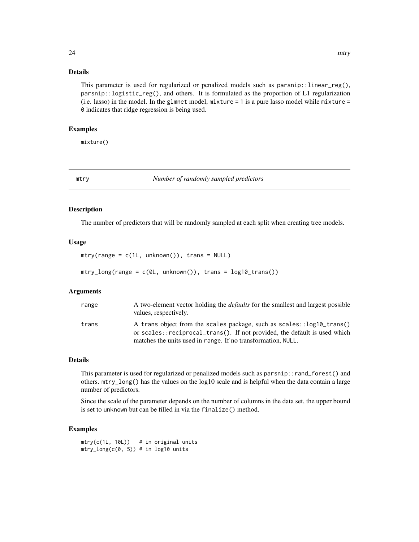# <span id="page-23-0"></span>Details

This parameter is used for regularized or penalized models such as  $paramip::linear_reg(),$ parsnip::logistic\_reg(), and others. It is formulated as the proportion of L1 regularization (i.e. lasso) in the model. In the glmnet model, mixture = 1 is a pure lasso model while mixture = 0 indicates that ridge regression is being used.

#### Examples

mixture()

<span id="page-23-1"></span>mtry *Number of randomly sampled predictors*

#### Description

The number of predictors that will be randomly sampled at each split when creating tree models.

#### Usage

```
mtry(range = c(1L, unknown()), trans = NULL)
mtry\_long(range = c(0L, unknown()), trans = log10_Ltrans())
```
Arguments

| range | A two-element vector holding the <i>defaults</i> for the smallest and largest possible<br>values, respectively.                                    |  |
|-------|----------------------------------------------------------------------------------------------------------------------------------------------------|--|
| trans | A trans object from the scales package, such as scales::log10_trans()<br>or scales::reciprocal_trans(). If not provided, the default is used which |  |
|       | matches the units used in range. If no transformation, NULL.                                                                                       |  |

#### Details

This parameter is used for regularized or penalized models such as parsnip::rand\_forest() and others. mtry\_long() has the values on the log10 scale and is helpful when the data contain a large number of predictors.

Since the scale of the parameter depends on the number of columns in the data set, the upper bound is set to unknown but can be filled in via the finalize() method.

# Examples

```
mtry(c(1L, 10L)) # in original units
mtry\_long(c(0, 5)) # in log10 units
```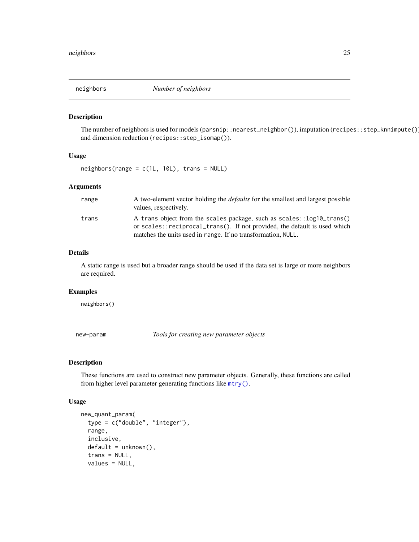<span id="page-24-0"></span>neighbors *Number of neighbors*

#### Description

The number of neighbors is used for models (parsnip::nearest\_neighbor()), imputation (recipes::step\_knnimpute()), and dimension reduction (recipes::step\_isomap()).

#### Usage

neighbors(range = c(1L, 10L), trans = NULL)

# Arguments

| range | A two-element vector holding the <i>defaults</i> for the smallest and largest possible<br>values, respectively.                                    |
|-------|----------------------------------------------------------------------------------------------------------------------------------------------------|
| trans | A trans object from the scales package, such as scales::log10_trans()<br>or scales::reciprocal_trans(). If not provided, the default is used which |
|       | matches the units used in range. If no transformation, NULL.                                                                                       |

# Details

A static range is used but a broader range should be used if the data set is large or more neighbors are required.

#### Examples

neighbors()

new-param *Tools for creating new parameter objects*

#### Description

These functions are used to construct new parameter objects. Generally, these functions are called from higher level parameter generating functions like [mtry\(\)](#page-23-1).

#### Usage

```
new_quant_param(
  type = c("double", "integer"),
  range,
  inclusive,
  default = unknown(),
  trans = NULL,
  values = NULL,
```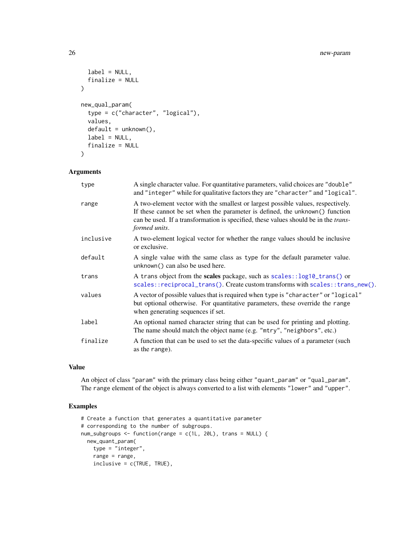```
label = NULL,finalize = NULL
\lambdanew_qual_param(
  type = c("character", "logical"),
  values,
  default = unknown(),label = NULL,finalize = NULL
\mathcal{L}
```
#### Arguments

| type      | A single character value. For quantitative parameters, valid choices are "double"<br>and "integer" while for qualitative factors they are "character" and "logical".                                                                                                             |  |
|-----------|----------------------------------------------------------------------------------------------------------------------------------------------------------------------------------------------------------------------------------------------------------------------------------|--|
| range     | A two-element vector with the smallest or largest possible values, respectively.<br>If these cannot be set when the parameter is defined, the unknown() function<br>can be used. If a transformation is specified, these values should be in the <i>trans</i> -<br>formed units. |  |
| inclusive | A two-element logical vector for whether the range values should be inclusive<br>or exclusive.                                                                                                                                                                                   |  |
| default   | A single value with the same class as type for the default parameter value.<br>unknown() can also be used here.                                                                                                                                                                  |  |
| trans     | A trans object from the scales package, such as scales::log10_trans() or<br>scales::reciprocal_trans(). Create custom transforms with scales::trans_new().                                                                                                                       |  |
| values    | A vector of possible values that is required when type is "character" or "logical"<br>but optional otherwise. For quantitative parameters, these override the range<br>when generating sequences if set.                                                                         |  |
| label     | An optional named character string that can be used for printing and plotting.<br>The name should match the object name (e.g. "mtry", "neighbors", etc.)                                                                                                                         |  |
| finalize  | A function that can be used to set the data-specific values of a parameter (such<br>as the range).                                                                                                                                                                               |  |

# Value

An object of class "param" with the primary class being either "quant\_param" or "qual\_param". The range element of the object is always converted to a list with elements "lower" and "upper".

# Examples

```
# Create a function that generates a quantitative parameter
# corresponding to the number of subgroups.
num_subgroups <- function(range = c(1L, 20L), trans = NULL) {
 new_quant_param(
   type = "integer",
   range = range,
   inclusive = c(TRUE, TRUE),
```
<span id="page-25-0"></span>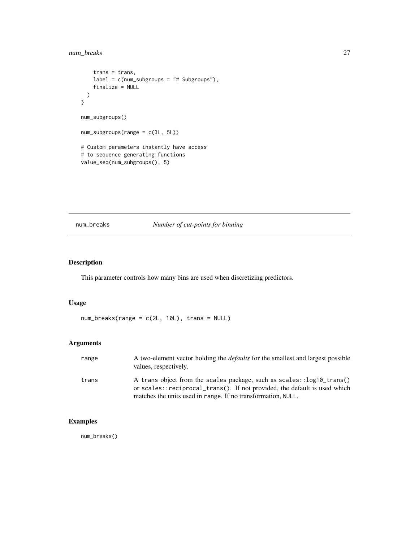# <span id="page-26-0"></span>num\_breaks 27

```
trans = trans,
   label = c(num_subgroups = "# Subgroups"),
   finalize = NULL
 )
}
num_subgroups()
num_subgroups(range = c(3L, 5L))
# Custom parameters instantly have access
# to sequence generating functions
value_seq(num_subgroups(), 5)
```
# num\_breaks *Number of cut-points for binning*

# Description

This parameter controls how many bins are used when discretizing predictors.

#### Usage

num\_breaks(range = c(2L, 10L), trans = NULL)

# Arguments

| range | A two-element vector holding the <i>defaults</i> for the smallest and largest possible<br>values, respectively.                                                                                                    |
|-------|--------------------------------------------------------------------------------------------------------------------------------------------------------------------------------------------------------------------|
| trans | A trans object from the scales package, such as scales::log10_trans()<br>or scales::reciprocal_trans(). If not provided, the default is used which<br>matches the units used in range. If no transformation, NULL. |

# Examples

num\_breaks()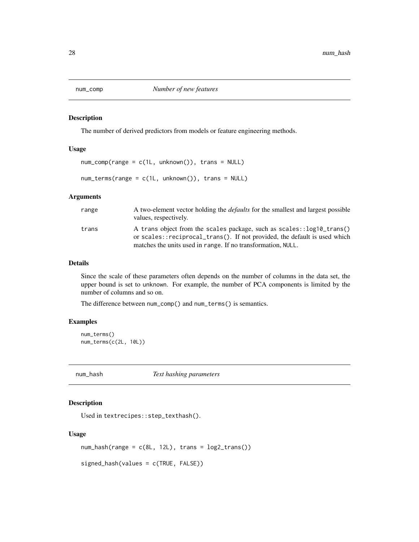<span id="page-27-0"></span>

#### Description

The number of derived predictors from models or feature engineering methods.

#### Usage

```
num_comp(range = c(1L, unknown()), trans = NULL)
```
 $num\_terms(range = c(1L, unknown())$ , trans = NULL)

### Arguments

| range | A two-element vector holding the <i>defaults</i> for the smallest and largest possible<br>values, respectively.                                    |
|-------|----------------------------------------------------------------------------------------------------------------------------------------------------|
| trans | A trans object from the scales package, such as scales::log10_trans()<br>or scales::reciprocal_trans(). If not provided, the default is used which |
|       | matches the units used in range. If no transformation, NULL.                                                                                       |

#### Details

Since the scale of these parameters often depends on the number of columns in the data set, the upper bound is set to unknown. For example, the number of PCA components is limited by the number of columns and so on.

The difference between num\_comp() and num\_terms() is semantics.

#### Examples

```
num_terms()
num_terms(c(2L, 10L))
```
num\_hash *Text hashing parameters*

# Description

Used in textrecipes::step\_texthash().

#### Usage

```
num\_hash(range = c(8L, 12L), trans = log2_transform())
```

```
signed_hash(values = c(TRUE, FALSE))
```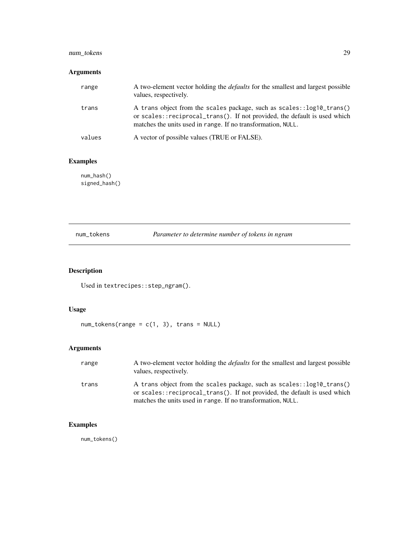# <span id="page-28-0"></span>num\_tokens 29

# Arguments

| range  | A two-element vector holding the <i>defaults</i> for the smallest and largest possible<br>values, respectively.                                                                                                    |
|--------|--------------------------------------------------------------------------------------------------------------------------------------------------------------------------------------------------------------------|
| trans  | A trans object from the scales package, such as scales::log10_trans()<br>or scales::reciprocal_trans(). If not provided, the default is used which<br>matches the units used in range. If no transformation, NULL. |
| values | A vector of possible values (TRUE or FALSE).                                                                                                                                                                       |

# Examples

num\_hash() signed\_hash()

num\_tokens *Parameter to determine number of tokens in ngram*

# Description

Used in textrecipes::step\_ngram().

# Usage

 $num\_tokens(range = c(1, 3), trans = NULL)$ 

# Arguments

| range | A two-element vector holding the <i>defaults</i> for the smallest and largest possible<br>values, respectively.                                                                                                    |
|-------|--------------------------------------------------------------------------------------------------------------------------------------------------------------------------------------------------------------------|
| trans | A trans object from the scales package, such as scales::log10_trans()<br>or scales::reciprocal_trans(). If not provided, the default is used which<br>matches the units used in range. If no transformation, NULL. |

# Examples

num\_tokens()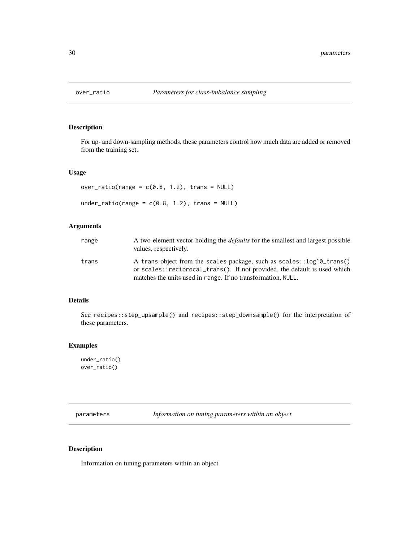<span id="page-29-0"></span>

# Description

For up- and down-sampling methods, these parameters control how much data are added or removed from the training set.

#### Usage

```
over\_ratio(range = c(0.8, 1.2), trans = NULL)
```

```
under_ratio(range = c(0.8, 1.2), trans = NULL)
```
# Arguments

| range | A two-element vector holding the <i>defaults</i> for the smallest and largest possible<br>values, respectively.                                                                                                    |  |
|-------|--------------------------------------------------------------------------------------------------------------------------------------------------------------------------------------------------------------------|--|
| trans | A trans object from the scales package, such as scales::log10_trans()<br>or scales::reciprocal_trans(). If not provided, the default is used which<br>matches the units used in range. If no transformation, NULL. |  |

#### Details

See recipes::step\_upsample() and recipes::step\_downsample() for the interpretation of these parameters.

# Examples

under\_ratio() over\_ratio()

<span id="page-29-1"></span>parameters *Information on tuning parameters within an object*

#### Description

Information on tuning parameters within an object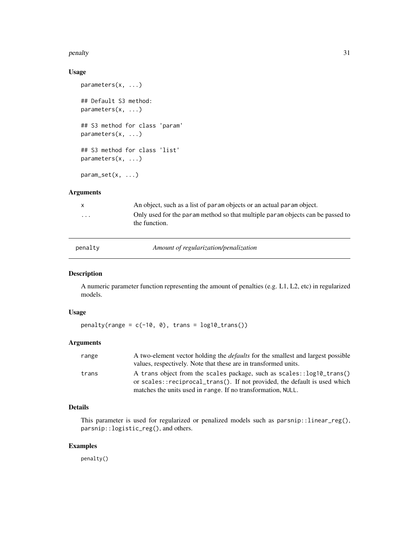#### <span id="page-30-0"></span>penalty 31

#### Usage

```
parameters(x, ...)
## Default S3 method:
parameters(x, ...)
## S3 method for class 'param'
parameters(x, ...)
## S3 method for class 'list'
parameters(x, ...)
param_set(x, ...)
```
# Arguments

| $\mathsf{x}$ | An object, such as a list of param objects or an actual param object.                           |  |  |
|--------------|-------------------------------------------------------------------------------------------------|--|--|
| $\cdot$      | Only used for the param method so that multiple param objects can be passed to<br>the function. |  |  |
|              |                                                                                                 |  |  |

<span id="page-30-1"></span>

| penalty |  |
|---------|--|
|         |  |

penalty *Amount of regularization/penalization*

# Description

A numeric parameter function representing the amount of penalties (e.g. L1, L2, etc) in regularized models.

#### Usage

 $penalty(range = c(-10, 0), trans = log10_trains())$ 

# Arguments

| range | A two-element vector holding the <i>defaults</i> for the smallest and largest possible |
|-------|----------------------------------------------------------------------------------------|
|       | values, respectively. Note that these are in transformed units.                        |
| trans | A trans object from the scales package, such as scales::log10_trans()                  |
|       | or scales::reciprocal_trans(). If not provided, the default is used which              |
|       | matches the units used in range. If no transformation, NULL.                           |

# Details

This parameter is used for regularized or penalized models such as parsnip::linear\_reg(), parsnip::logistic\_reg(), and others.

#### Examples

penalty()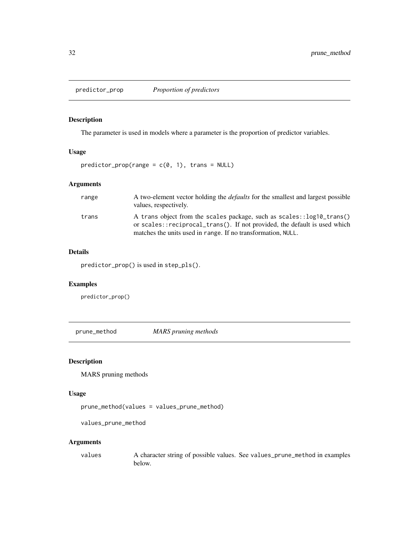<span id="page-31-0"></span>

# Description

The parameter is used in models where a parameter is the proportion of predictor variables.

#### Usage

 $predictor\_prop(range = c(0, 1), trans = NULL)$ 

### Arguments

| range | A two-element vector holding the <i>defaults</i> for the smallest and largest possible<br>values, respectively.                                    |
|-------|----------------------------------------------------------------------------------------------------------------------------------------------------|
| trans | A trans object from the scales package, such as scales::log10_trans()<br>or scales::reciprocal_trans(). If not provided, the default is used which |
|       | matches the units used in range. If no transformation, NULL.                                                                                       |

# Details

predictor\_prop() is used in step\_pls().

# Examples

predictor\_prop()

prune\_method *MARS pruning methods*

# Description

MARS pruning methods

# Usage

prune\_method(values = values\_prune\_method)

values\_prune\_method

#### Arguments

values A character string of possible values. See values\_prune\_method in examples below.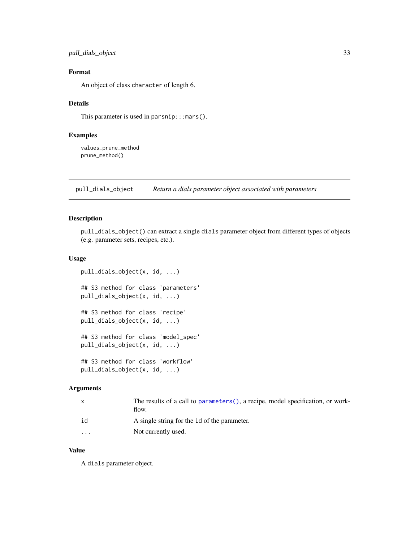<span id="page-32-0"></span>pull\_dials\_object 33

# Format

An object of class character of length 6.

# Details

This parameter is used in parsnip::: mars().

# Examples

values\_prune\_method prune\_method()

pull\_dials\_object *Return a dials parameter object associated with parameters*

# Description

pull\_dials\_object() can extract a single dials parameter object from different types of objects (e.g. parameter sets, recipes, etc.).

#### Usage

```
pull_dials_object(x, id, ...)
## S3 method for class 'parameters'
pull_dials_object(x, id, ...)
## S3 method for class 'recipe'
pull_dials_object(x, id, ...)
## S3 method for class 'model_spec'
pull_dials_object(x, id, ...)
## S3 method for class 'workflow'
pull_dials_object(x, id, ...)
```
#### Arguments

|         | The results of a call to parameters (), a recipe, model specification, or work-<br>flow. |
|---------|------------------------------------------------------------------------------------------|
| id      | A single string for the id of the parameter.                                             |
| $\cdot$ | Not currently used.                                                                      |

#### Value

A dials parameter object.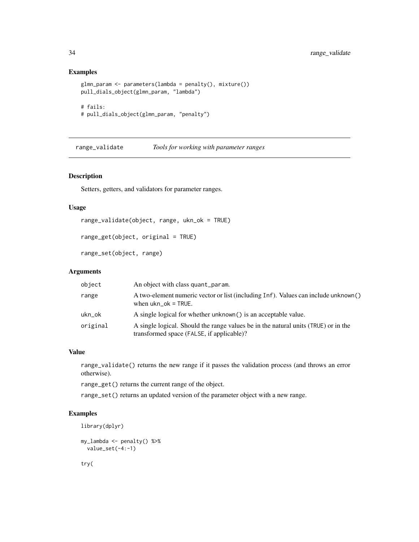#### <span id="page-33-0"></span>Examples

```
glmn_param <- parameters(lambda = penalty(), mixture())
pull_dials_object(glmn_param, "lambda")
# fails:
# pull_dials_object(glmn_param, "penalty")
```
range\_validate *Tools for working with parameter ranges*

# Description

Setters, getters, and validators for parameter ranges.

#### Usage

```
range_validate(object, range, ukn_ok = TRUE)
```

```
range_get(object, original = TRUE)
```
range\_set(object, range)

# Arguments

| object   | An object with class quant_param.                                                                                               |
|----------|---------------------------------------------------------------------------------------------------------------------------------|
| range    | A two-element numeric vector or list (including Inf). Values can include unknown()<br>when $ukn$ ok = TRUE.                     |
| ukn_ok   | A single logical for whether unknown() is an acceptable value.                                                                  |
| original | A single logical. Should the range values be in the natural units (TRUE) or in the<br>transformed space (FALSE, if applicable)? |

#### Value

range\_validate() returns the new range if it passes the validation process (and throws an error otherwise).

range\_get() returns the current range of the object.

range\_set() returns an updated version of the parameter object with a new range.

#### Examples

```
library(dplyr)
```

```
my_lambda <- penalty() %>%
  value_set(-4:-1)
```
try(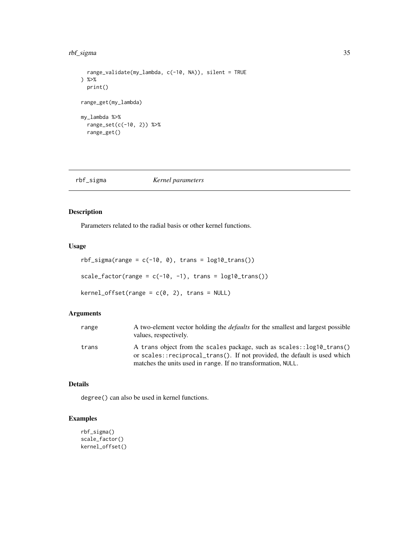#### <span id="page-34-0"></span>rbf\_sigma 35

```
range_validate(my_lambda, c(-10, NA)), silent = TRUE
) %>%
  print()
range_get(my_lambda)
my_lambda %>%
  range_set(c(-10, 2)) %>%
  range_get()
```
# rbf\_sigma *Kernel parameters*

#### Description

Parameters related to the radial basis or other kernel functions.

# Usage

```
rbf_sigma(range = c(-10, 0), trans = log10_trans())
```
scale\_factor(range =  $c(-10, -1)$ , trans =  $log10_t$ trans())

 $kernel_offset(range = c(0, 2), trans = NULL)$ 

#### Arguments

| range | A two-element vector holding the <i>defaults</i> for the smallest and largest possible<br>values, respectively.                                                                                                    |
|-------|--------------------------------------------------------------------------------------------------------------------------------------------------------------------------------------------------------------------|
| trans | A trans object from the scales package, such as scales::log10_trans()<br>or scales::reciprocal_trans(). If not provided, the default is used which<br>matches the units used in range. If no transformation, NULL. |

# Details

degree() can also be used in kernel functions.

# Examples

```
rbf_sigma()
scale_factor()
kernel_offset()
```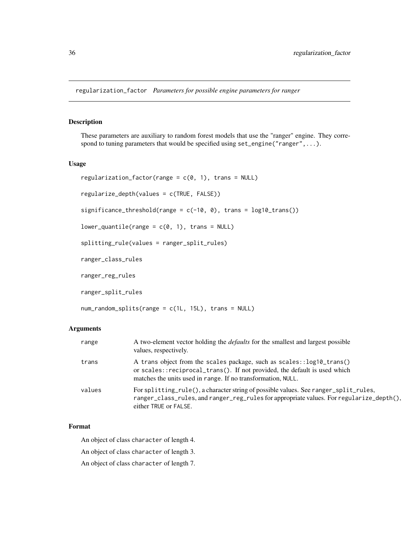<span id="page-35-0"></span>regularization\_factor *Parameters for possible engine parameters for ranger*

#### Description

These parameters are auxiliary to random forest models that use the "ranger" engine. They correspond to tuning parameters that would be specified using set\_engine("ranger",...).

#### Usage

```
regularization_factor(range = c(0, 1), trans = NULL)
regularize_depth(values = c(TRUE, FALSE))
significance_threshold(range = c(-10, 0), trans = log10_ttrans())
lower_quantile(range = c(0, 1), trans = NULL)
splitting_rule(values = ranger_split_rules)
ranger_class_rules
ranger_reg_rules
ranger_split_rules
```

```
num_random_splits(range = c(1L, 15L), trans = NULL)
```
#### Arguments

| range  | A two-element vector holding the <i>defaults</i> for the smallest and largest possible<br>values, respectively.                                                                                                    |
|--------|--------------------------------------------------------------------------------------------------------------------------------------------------------------------------------------------------------------------|
| trans  | A trans object from the scales package, such as scales::log10_trans()<br>or scales::reciprocal_trans(). If not provided, the default is used which<br>matches the units used in range. If no transformation, NULL. |
| values | For splitting_rule(), a character string of possible values. See ranger_split_rules,<br>ranger_class_rules, and ranger_reg_rules for appropriate values. For regularize_depth(),<br>either TRUE or FALSE.          |

# Format

An object of class character of length 4.

An object of class character of length 3.

An object of class character of length 7.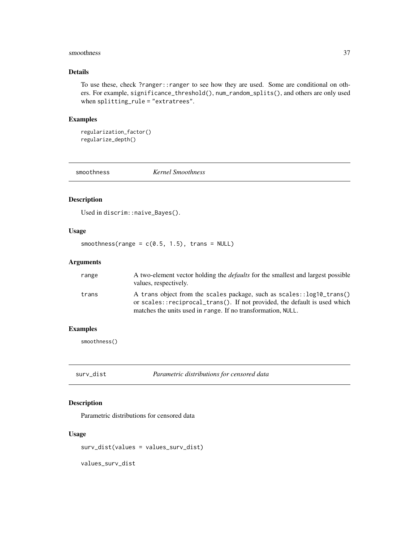#### <span id="page-36-0"></span>smoothness 37

# Details

To use these, check ?ranger::ranger to see how they are used. Some are conditional on others. For example, significance\_threshold(), num\_random\_splits(), and others are only used when splitting\_rule = "extratrees".

#### Examples

```
regularization_factor()
regularize_depth()
```
smoothness *Kernel Smoothness*

# Description

Used in discrim::naive\_Bayes().

#### Usage

smoothness(range =  $c(0.5, 1.5)$ , trans = NULL)

# Arguments

| range | A two-element vector holding the <i>defaults</i> for the smallest and largest possible<br>values, respectively.                                    |
|-------|----------------------------------------------------------------------------------------------------------------------------------------------------|
| trans | A trans object from the scales package, such as scales::log10_trans()<br>or scales::reciprocal_trans(). If not provided, the default is used which |
|       | matches the units used in range. If no transformation, NULL.                                                                                       |

#### Examples

smoothness()

surv\_dist *Parametric distributions for censored data*

# Description

Parametric distributions for censored data

#### Usage

surv\_dist(values = values\_surv\_dist)

values\_surv\_dist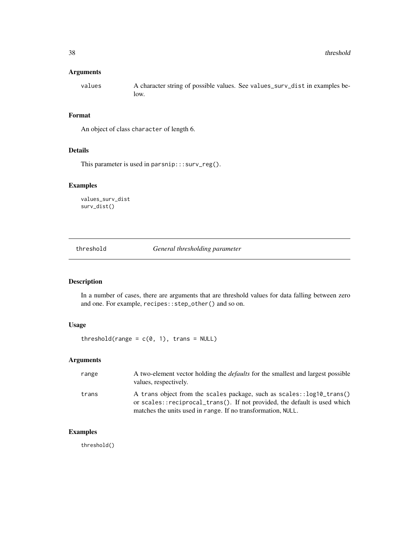#### <span id="page-37-0"></span>Arguments

values A character string of possible values. See values\_surv\_dist in examples below.

#### Format

An object of class character of length 6.

#### Details

This parameter is used in parsnip:::surv\_reg().

# Examples

values\_surv\_dist surv\_dist()

threshold *General thresholding parameter*

# Description

In a number of cases, there are arguments that are threshold values for data falling between zero and one. For example, recipes::step\_other() and so on.

# Usage

threshold(range =  $c(0, 1)$ , trans = NULL)

# Arguments

| range | A two-element vector holding the <i>defaults</i> for the smallest and largest possible<br>values, respectively.                                                                                                    |
|-------|--------------------------------------------------------------------------------------------------------------------------------------------------------------------------------------------------------------------|
| trans | A trans object from the scales package, such as scales::log10_trans()<br>or scales::reciprocal_trans(). If not provided, the default is used which<br>matches the units used in range. If no transformation, NULL. |

#### Examples

threshold()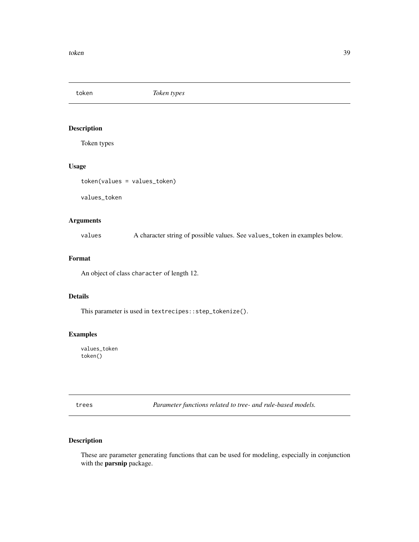<span id="page-38-0"></span>token *Token types*

# Description

Token types

# Usage

token(values = values\_token)

values\_token

#### Arguments

values A character string of possible values. See values\_token in examples below.

# Format

An object of class character of length 12.

#### Details

This parameter is used in textrecipes::step\_tokenize().

# Examples

values\_token token()

trees *Parameter functions related to tree- and rule-based models.*

#### Description

These are parameter generating functions that can be used for modeling, especially in conjunction with the parsnip package.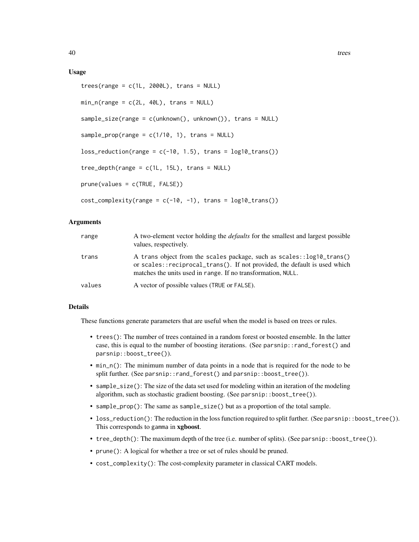#### Usage

```
trees(range = c(1L, 2000L), trans = NULL)min_n(range = c(2L, 40L), trans = NULL)sample_size(range = c(unknown(), unknown()), trans = NULL)
sample_prop(range = c(1/10, 1), trans = NULL)
loss_{reduction(range = c(-10, 1.5), trans = log10_{trans}())tree\_depth(range = c(1L, 15L), trans = NULL)prune(values = c(TRUE, FALSE))
cost\_complexity(range = c(-10, -1), trans = log10_trains())
```
#### Arguments

| range  | A two-element vector holding the <i>defaults</i> for the smallest and largest possible<br>values, respectively.                                                                                                    |
|--------|--------------------------------------------------------------------------------------------------------------------------------------------------------------------------------------------------------------------|
| trans  | A trans object from the scales package, such as scales::log10_trans()<br>or scales::reciprocal_trans(). If not provided, the default is used which<br>matches the units used in range. If no transformation, NULL. |
| values | A vector of possible values (TRUE or FALSE).                                                                                                                                                                       |

#### Details

These functions generate parameters that are useful when the model is based on trees or rules.

- trees(): The number of trees contained in a random forest or boosted ensemble. In the latter case, this is equal to the number of boosting iterations. (See parsnip::rand\_forest() and parsnip::boost\_tree()).
- min\_n(): The minimum number of data points in a node that is required for the node to be split further. (See parsnip::rand\_forest() and parsnip::boost\_tree()).
- sample\_size(): The size of the data set used for modeling within an iteration of the modeling algorithm, such as stochastic gradient boosting. (See parsnip::boost\_tree()).
- sample\_prop(): The same as sample\_size() but as a proportion of the total sample.
- loss\_reduction(): The reduction in the loss function required to split further. (See parsnip::boost\_tree()). This corresponds to gamma in xgboost.
- tree\_depth(): The maximum depth of the tree (i.e. number of splits). (See parsnip::boost\_tree()).
- prune(): A logical for whether a tree or set of rules should be pruned.
- cost\_complexity(): The cost-complexity parameter in classical CART models.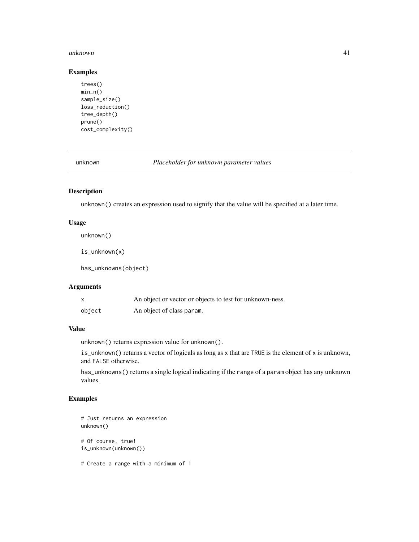#### <span id="page-40-0"></span>unknown 41

#### Examples

```
trees()
min_n()
sample_size()
loss_reduction()
tree_depth()
prune()
cost_complexity()
```
unknown *Placeholder for unknown parameter values*

# Description

unknown() creates an expression used to signify that the value will be specified at a later time.

# Usage

unknown()

is\_unknown(x)

has\_unknowns(object)

# Arguments

|        | An object or vector or objects to test for unknown-ness. |
|--------|----------------------------------------------------------|
| object | An object of class param.                                |

#### Value

unknown() returns expression value for unknown().

is\_unknown() returns a vector of logicals as long as x that are TRUE is the element of x is unknown, and FALSE otherwise.

has\_unknowns() returns a single logical indicating if the range of a param object has any unknown values.

# Examples

```
# Just returns an expression
unknown()
# Of course, true!
is_unknown(unknown())
```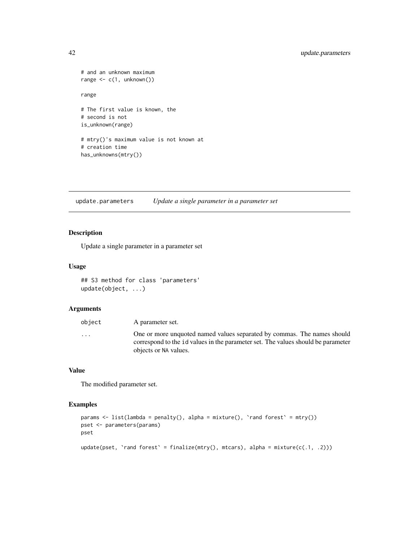# <span id="page-41-0"></span>42 update.parameters

```
# and an unknown maximum
range \leq c(1, \text{unknown}())range
# The first value is known, the
# second is not
is_unknown(range)
# mtry()'s maximum value is not known at
# creation time
has_unknowns(mtry())
```
update.parameters *Update a single parameter in a parameter set*

# Description

Update a single parameter in a parameter set

#### Usage

## S3 method for class 'parameters' update(object, ...)

# Arguments

| object                  | A parameter set.                                                                 |
|-------------------------|----------------------------------------------------------------------------------|
| $\cdot$ $\cdot$ $\cdot$ | One or more unquoted named values separated by commas. The names should          |
|                         | correspond to the id values in the parameter set. The values should be parameter |
|                         | objects or NA values.                                                            |

#### Value

The modified parameter set.

#### Examples

```
params \leq list(lambda = penalty(), alpha = mixture(), `rand forest` = mtry())
pset <- parameters(params)
pset
update(pset, 'rand forest' = finalize(mtry(), mtcars), alpha = mixture(c(.1, .2)))
```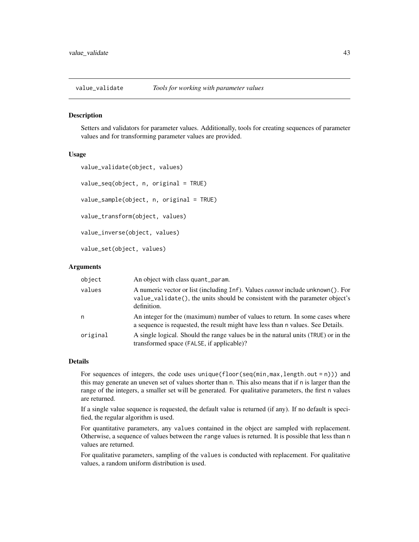<span id="page-42-0"></span>

#### **Description**

Setters and validators for parameter values. Additionally, tools for creating sequences of parameter values and for transforming parameter values are provided.

#### Usage

```
value_validate(object, values)
value_seq(object, n, original = TRUE)
value_sample(object, n, original = TRUE)
value_transform(object, values)
value_inverse(object, values)
value_set(object, values)
```
#### Arguments

| object   | An object with class quant param.                                                                                                                                                    |
|----------|--------------------------------------------------------------------------------------------------------------------------------------------------------------------------------------|
| values   | A numeric vector or list (including Inf). Values <i>cannot</i> include unknown(). For<br>value_validate(), the units should be consistent with the parameter object's<br>definition. |
| n        | An integer for the (maximum) number of values to return. In some cases where<br>a sequence is requested, the result might have less than n values. See Details.                      |
| original | A single logical. Should the range values be in the natural units (TRUE) or in the<br>transformed space (FALSE, if applicable)?                                                      |

#### Details

For sequences of integers, the code uses unique(floor(seq(min,max,length.out = n))) and this may generate an uneven set of values shorter than n. This also means that if n is larger than the range of the integers, a smaller set will be generated. For qualitative parameters, the first n values are returned.

If a single value sequence is requested, the default value is returned (if any). If no default is specified, the regular algorithm is used.

For quantitative parameters, any values contained in the object are sampled with replacement. Otherwise, a sequence of values between the range values is returned. It is possible that less than n values are returned.

For qualitative parameters, sampling of the values is conducted with replacement. For qualitative values, a random uniform distribution is used.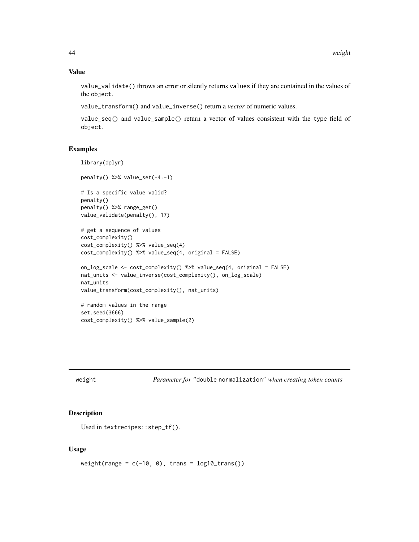#### Value

value\_validate() throws an error or silently returns values if they are contained in the values of the object.

value\_transform() and value\_inverse() return a *vector* of numeric values.

value\_seq() and value\_sample() return a vector of values consistent with the type field of object.

#### Examples

```
library(dplyr)
penalty() %>% value_set(-4:-1)
# Is a specific value valid?
penalty()
penalty() %>% range_get()
value_validate(penalty(), 17)
# get a sequence of values
cost_complexity()
cost_complexity() %>% value_seq(4)
cost_complexity() %>% value_seq(4, original = FALSE)
on_log_scale <- cost_complexity() %>% value_seq(4, original = FALSE)
nat_units <- value_inverse(cost_complexity(), on_log_scale)
nat_units
value_transform(cost_complexity(), nat_units)
# random values in the range
set.seed(3666)
cost_complexity() %>% value_sample(2)
```
weight *Parameter for* "double normalization" *when creating token counts*

#### Description

Used in textrecipes::step\_tf().

#### Usage

weight(range =  $c(-10, 0)$ , trans =  $log10_t$ trans())

<span id="page-43-0"></span>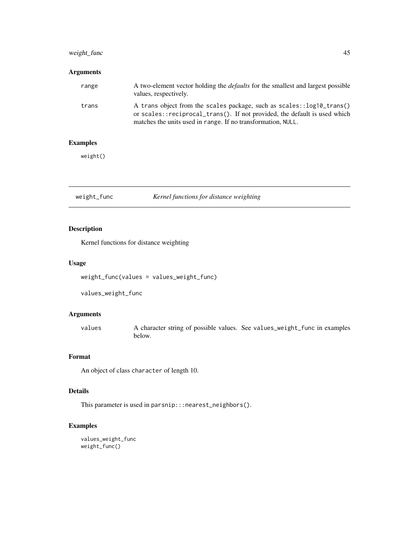# <span id="page-44-0"></span>weight\_func 45

# Arguments

| range | A two-element vector holding the <i>defaults</i> for the smallest and largest possible<br>values, respectively.                                      |
|-------|------------------------------------------------------------------------------------------------------------------------------------------------------|
| trans | A trans object from the scales package, such as scales: : log10_trans()<br>or scales::reciprocal_trans(). If not provided, the default is used which |
|       | matches the units used in range. If no transformation, NULL.                                                                                         |

# Examples

weight()

weight\_func *Kernel functions for distance weighting*

# Description

Kernel functions for distance weighting

# Usage

weight\_func(values = values\_weight\_func)

values\_weight\_func

#### Arguments

values A character string of possible values. See values\_weight\_func in examples below.

#### Format

An object of class character of length 10.

# Details

This parameter is used in parsnip:::nearest\_neighbors().

# Examples

values\_weight\_func weight\_func()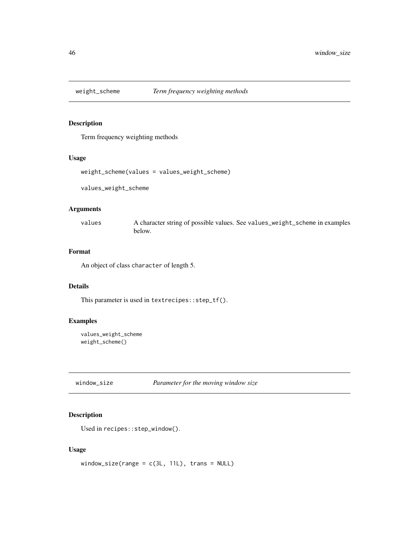<span id="page-45-0"></span>

# Description

Term frequency weighting methods

# Usage

```
weight_scheme(values = values_weight_scheme)
```
values\_weight\_scheme

#### Arguments

values A character string of possible values. See values\_weight\_scheme in examples below.

# Format

An object of class character of length 5.

# Details

This parameter is used in textrecipes::step\_tf().

#### Examples

```
values_weight_scheme
weight_scheme()
```
window\_size *Parameter for the moving window size*

#### Description

Used in recipes::step\_window().

#### Usage

window\_size(range =  $c(3L, 11L)$ , trans = NULL)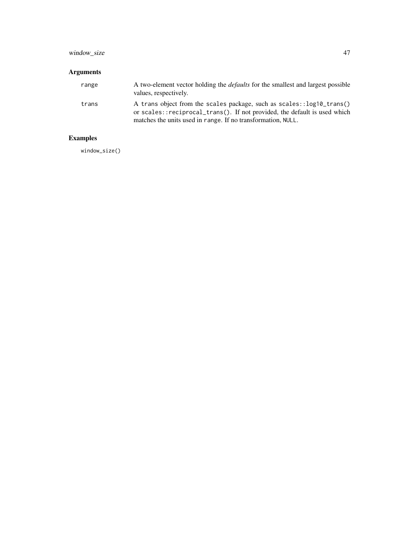# window\_size 47

# Arguments

| range | A two-element vector holding the <i>defaults</i> for the smallest and largest possible<br>values, respectively.                                      |
|-------|------------------------------------------------------------------------------------------------------------------------------------------------------|
| trans | A trans object from the scales package, such as scales: : log10_trans()<br>or scales::reciprocal_trans(). If not provided, the default is used which |
|       | matches the units used in range. If no transformation, NULL.                                                                                         |

# Examples

window\_size()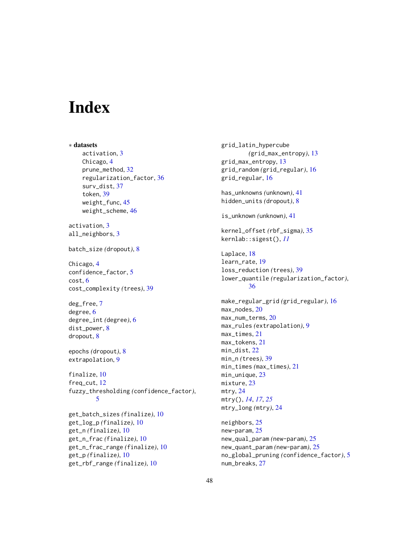# <span id="page-47-0"></span>**Index**

∗ datasets activation, [3](#page-2-0) Chicago, [4](#page-3-0) prune\_method, [32](#page-31-0) regularization\_factor, [36](#page-35-0) surv\_dist, [37](#page-36-0) token, [39](#page-38-0) weight\_func, [45](#page-44-0) weight\_scheme, [46](#page-45-0) activation, [3](#page-2-0) all\_neighbors, [3](#page-2-0) batch\_size *(*dropout*)*, [8](#page-7-0) Chicago, [4](#page-3-0) confidence\_factor, [5](#page-4-0) cost, [6](#page-5-0) cost\_complexity *(*trees*)*, [39](#page-38-0) deg\_free, [7](#page-6-0) degree, [6](#page-5-0) degree\_int *(*degree*)*, [6](#page-5-0) dist\_power, [8](#page-7-0) dropout, [8](#page-7-0) epochs *(*dropout*)*, [8](#page-7-0) extrapolation, [9](#page-8-0) finalize, [10](#page-9-0) freq\_cut, [12](#page-11-0) fuzzy\_thresholding *(*confidence\_factor*)*, [5](#page-4-0) get\_batch\_sizes *(*finalize*)*, [10](#page-9-0) get\_log\_p *(*finalize*)*, [10](#page-9-0) get\_n *(*finalize*)*, [10](#page-9-0) get\_n\_frac *(*finalize*)*, [10](#page-9-0) get\_n\_frac\_range *(*finalize*)*, [10](#page-9-0) get\_p *(*finalize*)*, [10](#page-9-0)

get\_rbf\_range *(*finalize*)*, [10](#page-9-0)

grid\_latin\_hypercube *(*grid\_max\_entropy*)*, [13](#page-12-0) grid\_max\_entropy, [13](#page-12-0) grid\_random *(*grid\_regular*)*, [16](#page-15-0) grid\_regular, [16](#page-15-0) has\_unknowns *(*unknown*)*, [41](#page-40-0) hidden\_units *(*dropout*)*, [8](#page-7-0) is\_unknown *(*unknown*)*, [41](#page-40-0) kernel\_offset *(*rbf\_sigma*)*, [35](#page-34-0) kernlab::sigest(), *[11](#page-10-0)* Laplace, [18](#page-17-0) learn\_rate, [19](#page-18-0) loss\_reduction *(*trees*)*, [39](#page-38-0) lower\_quantile *(*regularization\_factor*)*, [36](#page-35-0) make\_regular\_grid *(*grid\_regular*)*, [16](#page-15-0) max\_nodes, [20](#page-19-0) max\_num\_terms, [20](#page-19-0) max\_rules *(*extrapolation*)*, [9](#page-8-0) max\_times, [21](#page-20-0) max\_tokens, [21](#page-20-0) min\_dist, [22](#page-21-0) min\_n *(*trees*)*, [39](#page-38-0) min\_times *(*max\_times*)*, [21](#page-20-0) min\_unique, [23](#page-22-0) mixture, [23](#page-22-0) mtry, [24](#page-23-0) mtry(), *[14](#page-13-0)*, *[17](#page-16-0)*, *[25](#page-24-0)* mtry\_long *(*mtry*)*, [24](#page-23-0) neighbors, [25](#page-24-0) new-param, [25](#page-24-0) new\_qual\_param *(*new-param*)*, [25](#page-24-0) new\_quant\_param *(*new-param*)*, [25](#page-24-0)

no\_global\_pruning *(*confidence\_factor*)*, [5](#page-4-0)

num\_breaks, [27](#page-26-0)